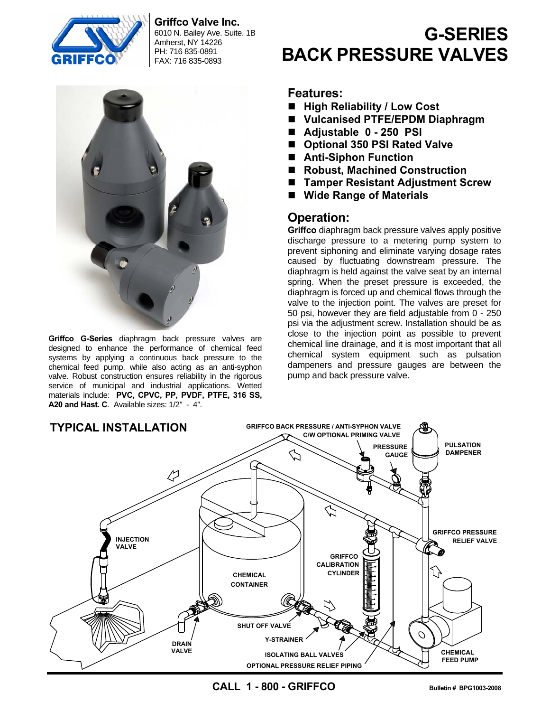

**Griffco Valve Inc.** 

6010 N. Bailey Ave. Suite. 1B Amherst, NY 14226 PH: 716 835-0891 FAX: 716 835-0893



**Griffco G-Series** diaphragm back pressure valves are designed to enhance the performance of chemical feed systems by applying a continuous back pressure to the chemical feed pump, while also acting as an anti-syphon valve. Robust construction ensures reliability in the rigorous service of municipal and industrial applications. Wetted materials include: **PVC, CPVC, PP, PVDF, PTFE, 316 SS, A20 and Hast. C**. Available sizes: 1/2" - 4".

# **G-SERIES BACK PRESSURE VALVES**

### **Features:**

- High Reliability / Low Cost
- **Vulcanised PTFE/EPDM Diaphragm**
- **Adjustable 0 250 PSI**
- Optional 350 PSI Rated Valve
- **Anti-Siphon Function**
- Robust, Machined Construction
- Tamper Resistant Adjustment Screw
- **Wide Range of Materials**

## **Operation:**

**Griffco** diaphragm back pressure valves apply positive discharge pressure to a metering pump system to prevent siphoning and eliminate varying dosage rates caused by fluctuating downstream pressure. The diaphragm is held against the valve seat by an internal spring. When the preset pressure is exceeded, the diaphragm is forced up and chemical flows through the valve to the injection point. The valves are preset for 50 psi, however they are field adjustable from 0 - 250 psi via the adjustment screw. Installation should be as close to the injection point as possible to prevent chemical line drainage, and it is most important that all chemical system equipment such as pulsation dampeners and pressure gauges are between the pump and back pressure valve.



**CALL 1 - 800 - GRIFFCO Bulletin # BPG1003-2008**